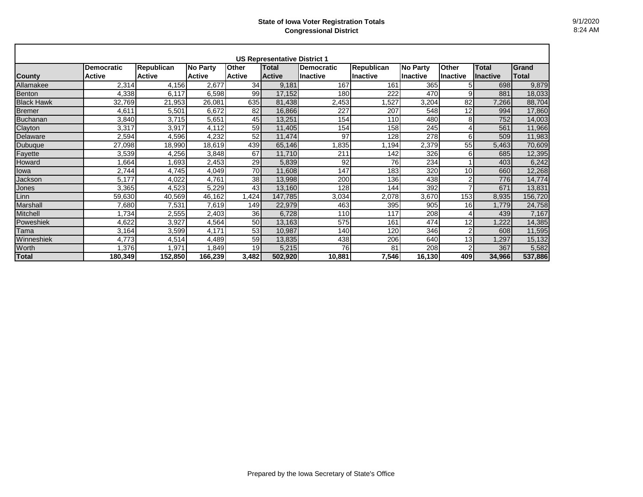| <b>US Representative District 1</b> |                   |                   |                 |               |               |                   |                 |                 |              |                 |              |
|-------------------------------------|-------------------|-------------------|-----------------|---------------|---------------|-------------------|-----------------|-----------------|--------------|-----------------|--------------|
|                                     | <b>Democratic</b> | <b>Republican</b> | <b>No Party</b> | <b>Other</b>  | Total         | <b>Democratic</b> | Republican      | <b>No Party</b> | <b>Other</b> | Total           | Grand        |
| <b>County</b>                       | <b>Active</b>     | <b>Active</b>     | <b>Active</b>   | <b>Active</b> | <b>Active</b> | <b>Inactive</b>   | <b>Inactive</b> | Inactive        | Inactive     | <b>Inactive</b> | <b>Total</b> |
| Allamakee                           | 2,314             | 4,156             | 2,677           | 34            | 9,181         | 167               | 161             | 365             |              | 698             | 9,879        |
| Benton                              | 4,338             | 6.117             | 6,598           | 99            | 17,152        | 180               | 222             | 470             | 9            | 881             | 18,033       |
| <b>Black Hawk</b>                   | 32,769            | 21,953            | 26,081          | 635           | 81,438        | 2,453             | ,527            | 3,204           | 82           | 7,266           | 88,704       |
| <b>Bremer</b>                       | 4,611             | 5,501             | 6,672           | 82            | 16,866        | 227               | 207             | 548             | 12           | 994             | 17,860       |
| Buchanan                            | 3,840             | 3,715             | 5,651           | 45            | 13,251        | 154               | 110             | 480             | 8            | 752             | 14,003       |
| Clayton                             | 3,317             | 3,917             | 4,112           | 59            | 11,405        | 154               | 158             | 245             | 4            | 561             | 11,966       |
| Delaware                            | 2,594             | 4,596             | 4,232           | 52            | 11,474        | 97                | 128             | 278             | 6            | 509             | 11,983       |
| Dubuque                             | 27,098            | 18,990            | 18,619          | 439           | 65,146        | .835              | 1,194           | 2,379           | 55           | 5,463           | 70,609       |
| Fayette                             | 3,539             | 4,256             | 3,848           | 67            | 11,710        | 211               | 142             | 326             | 6            | 685             | 12,395       |
| Howard                              | .664              | 1,693             | 2,453           | 29            | 5,839         | 92                | 76              | 234             |              | 403             | 6,242        |
| lowa                                | 2,744             | 4,745             | 4,049           | 70            | 11,608        | 147               | 183             | 320             | 10           | 660             | 12,268       |
| Jackson                             | 5.177             | 4,022             | 4,761           | 38            | 13,998        | 200               | 136             | 438             | 2            | 776             | 14,774       |
| Jones                               | 3,365             | 4,523             | 5,229           | 43            | 13,160        | 128               | 144             | 392             | ⇁            | 671             | 13,831       |
| Linn                                | 59,630            | 40,569            | 46,162          | ,424          | 147,785       | 3,034             | 2,078           | 3,670           | 153          | 8,935           | 156,720      |
| Marshall                            | 7,680             | 7,531             | 7,619           | 149           | 22,979        | 463               | 395             | 905             | 16           | 1,779           | 24,758       |
| <b>Mitchell</b>                     | 1,734             | 2,555             | 2,403           | 36            | 6,728         | 110               | 117             | 208             | 4            | 439             | 7,167        |
| Poweshiek                           | 4,622             | 3,927             | 4,564           | 50            | 13,163        | 575               | 161             | 474             | 12           | ,222            | 14,385       |
| Tama                                | 3,164             | 3,599             | 4,171           | 53            | 10,987        | 140               | 120             | 346             | 2            | 608             | 11,595       |
| Winneshiek                          | 4,773             | 4,514             | 4,489           | 59            | 13,835        | 438               | 206             | 640             | 13           | ,297            | 15,132       |
| Worth                               | 1,376             | 1,971             | 1,849           | 19            | 5,215         | 76                | 81              | 208             | 2            | 367             | 5,582        |
| <b>Total</b>                        | 180,349           | 152,850           | 166,239         | 3,482         | 502,920       | 10,881            | 7,546           | 16,130          | 409          | 34,966          | 537,886      |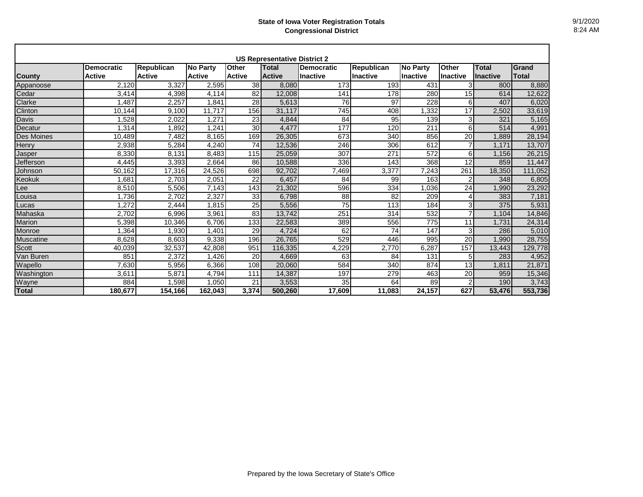| <b>US Representative District 2</b> |                   |                   |                 |               |               |                 |                   |                 |                 |                 |         |
|-------------------------------------|-------------------|-------------------|-----------------|---------------|---------------|-----------------|-------------------|-----------------|-----------------|-----------------|---------|
|                                     | <b>Democratic</b> | <b>Republican</b> | <b>No Party</b> | <b>Other</b>  | <b>Total</b>  | Democratic      | <b>Republican</b> | <b>No Party</b> | <b>Other</b>    | Total           | Grand   |
| <b>County</b>                       | <b>Active</b>     | <b>Active</b>     | <b>Active</b>   | <b>Active</b> | <b>Active</b> | <b>Inactive</b> | <b>Inactive</b>   | <b>Inactive</b> | <b>Inactive</b> | <b>Inactive</b> | Total   |
| Appanoose                           | 2.120             | 3.327             | 2,595           | 38            | 8.080         | 173             | 193               | 431             | 3               | 800             | 8,880   |
| Cedar                               | 3,414             | 4,398             | 4,114           | 82            | 12,008        | 141             | 178               | 280             | 15              | 614             | 12,622  |
| Clarke                              | ,487              | 2,257             | 1,841           | 28            | 5.613         | 76              | 97                | 228             | 6               | 407             | 6,020   |
| Clinton                             | 10,144            | 9.100             | 11.717          | 156           | 31.117        | 745             | 408               | ,332            | 17              | 2,502           | 33,619  |
| Davis                               | .528              | 2,022             | 1.271           | 23            | 4.844         | 84              | 95                | 139             | 3               | 321             | 5,165   |
| Decatur                             | ,314              | 1,892             | 1,241           | 30            | 4,477         | 177             | 120               | 211             | 6               | 514             | 4,991   |
| Des Moines                          | 10,489            | 7,482             | 8,165           | 169           | 26,305        | 673             | 340               | 856             | 20              | ,889            | 28,194  |
| Henry                               | 2,938             | 5,284             | 4,240           | 74            | 12,536        | 246             | 306               | 612             |                 | 1.171           | 13,707  |
| Jasper                              | 8,330             | 8.131             | 8,483           | 115           | 25,059        | 307             | 271               | 572             | 6               | 1,156           | 26,215  |
| Jefferson                           | 4,445             | 3,393             | 2.664           | 86            | 10,588        | 336             | 143               | 368             | 12              | 859             | 11,447  |
| Johnson                             | 50,162            | 17,316            | 24,526          | 698           | 92,702        | 7,469           | 3,377             | 7,243           | 261             | 18,350          | 111,052 |
| Keokuk                              | .681              | 2,703             | 2,051           | 22            | 6.457         | 84              | 99                | 163             | $\overline{2}$  | 348             | 6,805   |
| Lee                                 | 8.510             | 5.506             | 7,143           | 143           | 21.302        | 596             | 334               | 1.036           | 24              | 1.990           | 23,292  |
| Louisa                              | .736              | 2.702             | 2.327           | 33            | 6.798         | 88              | 82                | 209             | 4               | 383             | 7,181   |
| Lucas                               | .272              | 2,444             | 1.815           | 25            | 5,556         | 75              | 113               | 184             | 3               | 375             | 5,931   |
| Mahaska                             | 2.702             | 6,996             | 3.961           | 83            | 13.742        | 251             | 314               | 532             |                 | 1,104           | 14,846  |
| <b>Marion</b>                       | 5,398             | 10,346            | 6.706           | 133           | 22,583        | 389             | 556               | 775             | 11              | 1.731           | 24,314  |
| Monroe                              | .364              | <b>1.930</b>      | .401            | 29            | 4.724         | 62              | 74                | 147             | 3               | 286             | 5,010   |
| Muscatine                           | 8.628             | 8,603             | 9,338           | 196           | 26,765        | 529             | 446               | 995             | 20              | 1,990           | 28,755  |
| <b>Scott</b>                        | 40,039            | 32,537            | 42,808          | 951           | 116,335       | 4,229           | 2,770             | 6,287           | 157             | 13,443          | 129,778 |
| Van Buren                           | 851               | 2,372             | .426            | 20            | 4.669         | 63              | 84                | 131             | 5               | 283             | 4,952   |
| Wapello                             | 7.630             | 5,956             | 6.366           | 108           | 20.060        | 584             | 340               | 874             | 13              | 1.811           | 21.871  |
| Washington                          | 3,611             | 5,871             | 4,794           | 111           | 14,387        | 197             | 279               | 463             | 20              | 959             | 15,346  |
| Wayne                               | 884               | 1,598             | 1,050           | 21            | 3,553         | 35              | 64                | 89              | $\mathfrak{p}$  | 190             | 3,743   |
| <b>Total</b>                        | 180.677           | 154.166           | 162.043         | 3.374         | 500.260       | 17.609          | 11.083            | 24,157          | 627             | 53.476          | 553,736 |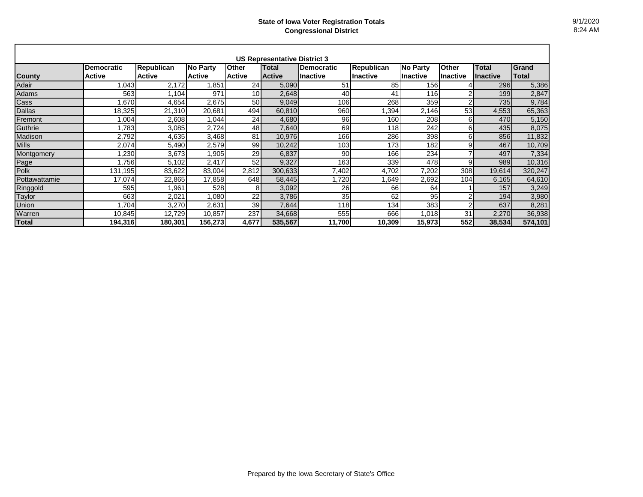| <b>US Representative District 3</b> |                   |                   |                 |                 |               |                   |                   |                 |                |                 |         |
|-------------------------------------|-------------------|-------------------|-----------------|-----------------|---------------|-------------------|-------------------|-----------------|----------------|-----------------|---------|
|                                     | <b>Democratic</b> | <b>Republican</b> | <b>No Party</b> | <b>Other</b>    | Total         | <b>Democratic</b> | <b>Republican</b> | <b>No Party</b> | Other          | <b>Total</b>    | Grand   |
| <b>County</b>                       | <b>Active</b>     | <b>Active</b>     | <b>Active</b>   | <b>Active</b>   | <b>Active</b> | Ilnactive         | Inactive          | Ilnactive       | Inactive       | <b>Inactive</b> | Total   |
| Adair                               | 1,043             | 2,172             | 1,851           | 24              | 5,090         | 51                | 85                | 156             |                | 296             | 5,386   |
| Adams                               | 563               | 1,104             | 971             | 10 <sub>1</sub> | 2,648         | 40                | 41                | 116             | 2              | 199             | 2,847   |
| Cass                                | 1,670             | 4,654             | 2,675           | 50              | 9,049         | 106               | 268               | 359             | $\overline{2}$ | 735             | 9,784   |
| <b>Dallas</b>                       | 18,325            | 21,310            | 20,681          | 494             | 60,810        | 960               | .394              | 2,146           | 53             | 4,553           | 65,363  |
| Fremont                             | 1,004             | 2,608             | 1,044           | 24              | 4,680         | 96                | 160               | 208             | 6              | 470             | 5,150   |
| Guthrie                             | 1,783             | 3,085             | 2,724           | 48              | 7,640         | 69                | 118               | 242             | 6              | 435             | 8,075   |
| Madison                             | 2,792             | 4,635             | 3,468           | 81              | 10,976        | 166               | 286               | 398             | 6              | 856             | 11,832  |
| <b>Mills</b>                        | 2,074             | 5,490             | 2,579           | 99              | 10,242        | 103               | 173               | 182             | 9              | 467             | 10,709  |
| Montgomery                          | .230              | 3,673             | 1,905           | 29              | 6,837         | 90                | 166               | 234             | ⇁              | 497             | 7,334   |
| Page                                | .756              | 5,102             | 2,417           | 52              | 9,327         | 163               | 339               | 478             | 9              | 989             | 10,316  |
| Polk                                | 131,195           | 83,622            | 83,004          | 2,812           | 300,633       | 7,402             | 4,702             | 7,202           | 308            | 19,614          | 320,247 |
| <b>Pottawattamie</b>                | 17,074            | 22,865            | 17,858          | 648             | 58,445        | .720              | ,649              | 2,692           | 104            | 6,165           | 64,610  |
| Ringgold                            | 595               | .961              | 528             | 81              | 3,092         | 26                | 66                | 64              |                | 157             | 3,249   |
| Taylor                              | 663               | 2,021             | 1,080           | 22              | 3,786         | 35                | 62                | 95              | 2              | 194             | 3,980   |
| <b>Union</b>                        | 1,704             | 3,270             | 2,631           | 39              | 7,644         | 118               | 134               | 383             | $\overline{2}$ | 637             | 8,281   |
| Warren                              | 10,845            | 12,729            | 10,857          | 237             | 34,668        | 555               | 666               | ,018            | 31             | 2,270           | 36,938  |
| <b>Total</b>                        | 194,316           | 180,301           | 156,273         | 4,677           | 535,567       | 11,700            | 10,309            | 15,973          | 552            | 38,534          | 574,101 |